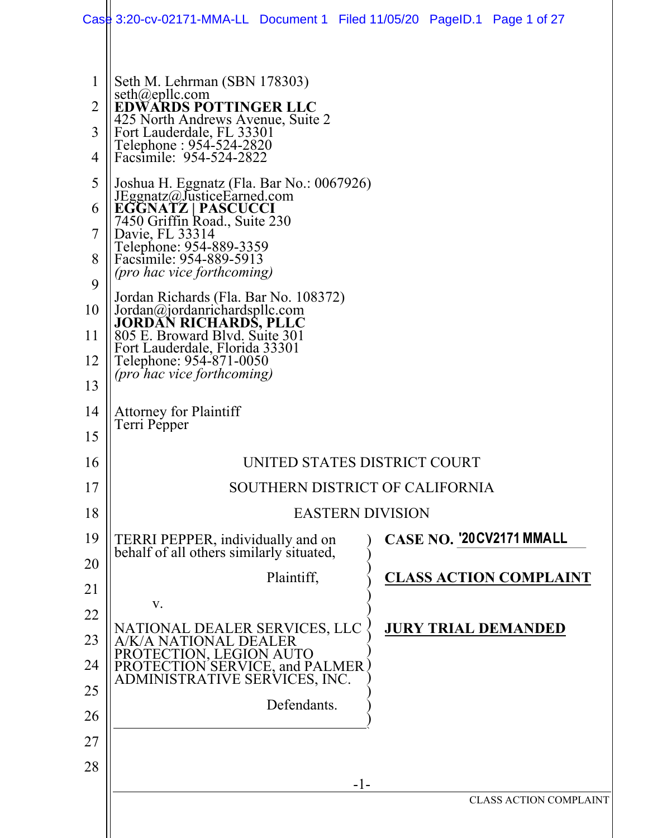|                | Case 3:20-cv-02171-MMA-LL Document 1 Filed 11/05/20 PageID.1 Page 1 of 27                              |             |  |  |  |                               |
|----------------|--------------------------------------------------------------------------------------------------------|-------------|--|--|--|-------------------------------|
|                |                                                                                                        |             |  |  |  |                               |
| 1              | Seth M. Lehrman (SBN 178303)<br>$seth(\omega$ epllc.com                                                |             |  |  |  |                               |
| $\overline{2}$ | <b>EDWARDS POTTINGER LLC</b><br>425 North Andrews Avenue, Suite 2                                      |             |  |  |  |                               |
| 3              | Fort Lauderdale, FL 33301<br>Telephone : 954-524-2820<br>Facsimile: 954-524-2822                       |             |  |  |  |                               |
| 4              |                                                                                                        |             |  |  |  |                               |
| 5              | Joshua H. Eggnatz (Fla. Bar No.: 0067926)<br>JEggnatz@JusticeEarned.com<br>EGGNATZ   PASCUCCI          |             |  |  |  |                               |
| 6              |                                                                                                        |             |  |  |  |                               |
| 7              | 7450 Griffin Road., Suite 230<br>Davie, FL 33314<br>Telephone: 954-889-3359<br>Facsimile: 954-889-5913 |             |  |  |  |                               |
| 8              | <i>(pro hac vice forthcoming)</i>                                                                      |             |  |  |  |                               |
| 9              | Jordan Richards (Fla. Bar No. 108372)                                                                  |             |  |  |  |                               |
| 10             | Jordan@jordanrichardspllc.com<br>JORDAN RICHARDS, PLLC<br>805 E. Broward Blvd. Suite 301               |             |  |  |  |                               |
| 11             | Fort Lauderdale, Florida 33301<br>Telephone: 954-871-0050                                              |             |  |  |  |                               |
| 12<br>13       | <i>(pro hac vice forthcoming)</i>                                                                      |             |  |  |  |                               |
|                |                                                                                                        |             |  |  |  |                               |
| 14<br>15       | <b>Attorney for Plaintiff</b><br>Terri Pepper                                                          |             |  |  |  |                               |
| 16             |                                                                                                        |             |  |  |  |                               |
| 17             | UNITED STATES DISTRICT COURT                                                                           |             |  |  |  |                               |
| 18             | SOUTHERN DISTRICT OF CALIFORNIA                                                                        |             |  |  |  |                               |
| 19             | <b>EASTERN DIVISION</b><br>CASE NO. '20CV2171 MMALL                                                    |             |  |  |  |                               |
| 20             | TERRI PEPPER, individually and on<br>behalf of all others similarly situated,                          |             |  |  |  |                               |
| 21             |                                                                                                        | Plaintiff,  |  |  |  | <b>CLASS ACTION COMPLAINT</b> |
| 22             | V.                                                                                                     |             |  |  |  |                               |
| 23             | NATIONAL DEALER SERVICES, LLC<br>A/K/A NATIONAL DEALER                                                 |             |  |  |  | <b>JURY TRIAL DEMANDED</b>    |
| 24             | PROTECTION, LEGION AUTO                                                                                |             |  |  |  |                               |
| 25             | PROTECTION SERVICE, and PALMER<br>ADMINISTRATIVE SERVICES, INC.                                        |             |  |  |  |                               |
| 26             |                                                                                                        | Defendants. |  |  |  |                               |
| 27             |                                                                                                        |             |  |  |  |                               |
| 28             |                                                                                                        |             |  |  |  |                               |
|                | $-1-$                                                                                                  |             |  |  |  |                               |
|                |                                                                                                        |             |  |  |  | <b>CLASS ACTION COMPLAINT</b> |
|                |                                                                                                        |             |  |  |  |                               |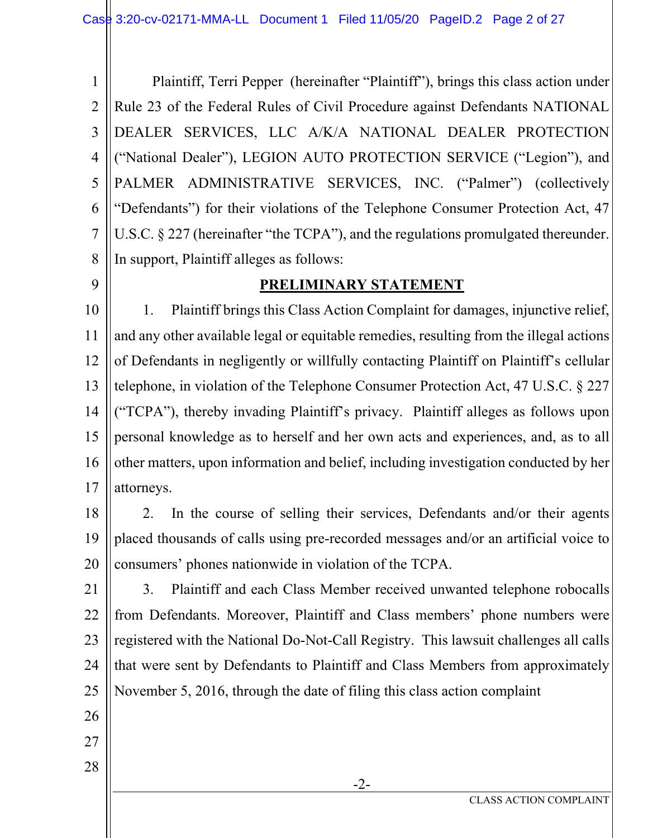1 2 3 4 5 6 7 8 Plaintiff, Terri Pepper (hereinafter "Plaintiff"), brings this class action under Rule 23 of the Federal Rules of Civil Procedure against Defendants NATIONAL DEALER SERVICES, LLC A/K/A NATIONAL DEALER PROTECTION ("National Dealer"), LEGION AUTO PROTECTION SERVICE ("Legion"), and PALMER ADMINISTRATIVE SERVICES, INC. ("Palmer") (collectively "Defendants") for their violations of the Telephone Consumer Protection Act, 47 U.S.C. § 227 (hereinafter "the TCPA"), and the regulations promulgated thereunder. In support, Plaintiff alleges as follows:

9

## **PRELIMINARY STATEMENT**

10 11 12 13 14 15 16 17 1. Plaintiff brings this Class Action Complaint for damages, injunctive relief, and any other available legal or equitable remedies, resulting from the illegal actions of Defendants in negligently or willfully contacting Plaintiff on Plaintiff's cellular telephone, in violation of the Telephone Consumer Protection Act, 47 U.S.C. § 227 ("TCPA"), thereby invading Plaintiff's privacy. Plaintiff alleges as follows upon personal knowledge as to herself and her own acts and experiences, and, as to all other matters, upon information and belief, including investigation conducted by her attorneys.

18

19 20 2. In the course of selling their services, Defendants and/or their agents placed thousands of calls using pre-recorded messages and/or an artificial voice to consumers' phones nationwide in violation of the TCPA.

21 22 23 24 25 3. Plaintiff and each Class Member received unwanted telephone robocalls from Defendants. Moreover, Plaintiff and Class members' phone numbers were registered with the National Do-Not-Call Registry. This lawsuit challenges all calls that were sent by Defendants to Plaintiff and Class Members from approximately November 5, 2016, through the date of filing this class action complaint

-2-

- 26
- 27
- 28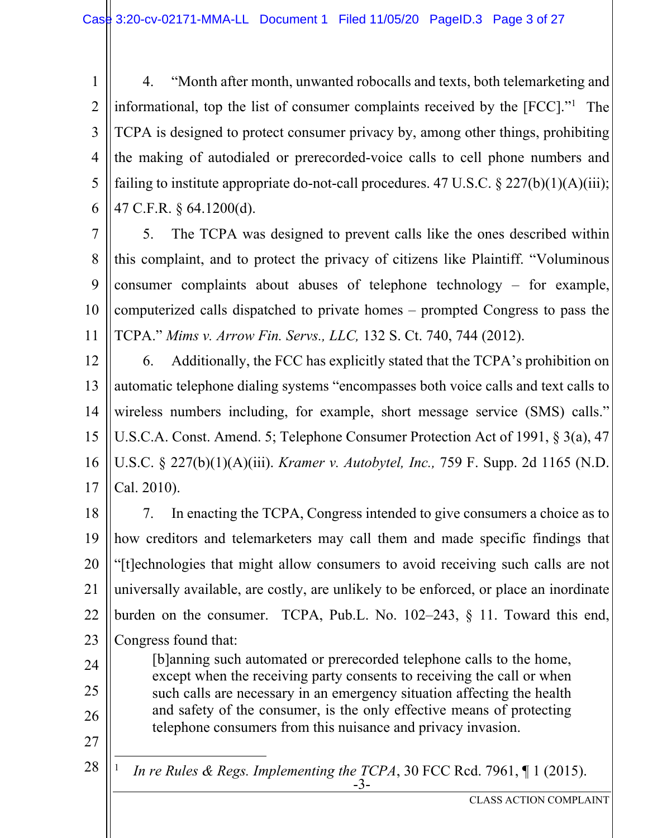1 2 3 4 5 6 4. "Month after month, unwanted robocalls and texts, both telemarketing and informational, top the list of consumer complaints received by the [FCC]."1 The TCPA is designed to protect consumer privacy by, among other things, prohibiting the making of autodialed or prerecorded-voice calls to cell phone numbers and failing to institute appropriate do-not-call procedures. 47 U.S.C.  $\S 227(b)(1)(A)(iii);$ 47 C.F.R. § 64.1200(d).

7 8 9 10 11 5. The TCPA was designed to prevent calls like the ones described within this complaint, and to protect the privacy of citizens like Plaintiff. "Voluminous consumer complaints about abuses of telephone technology – for example, computerized calls dispatched to private homes – prompted Congress to pass the TCPA." *Mims v. Arrow Fin. Servs., LLC,* 132 S. Ct. 740, 744 (2012).

12 13 14 15 16 17 6. Additionally, the FCC has explicitly stated that the TCPA's prohibition on automatic telephone dialing systems "encompasses both voice calls and text calls to wireless numbers including, for example, short message service (SMS) calls." U.S.C.A. Const. Amend. 5; Telephone Consumer Protection Act of 1991, § 3(a), 47 U.S.C. § 227(b)(1)(A)(iii). *Kramer v. Autobytel, Inc.,* 759 F. Supp. 2d 1165 (N.D. Cal. 2010).

18 19 20 21 22 23 7. In enacting the TCPA, Congress intended to give consumers a choice as to how creditors and telemarketers may call them and made specific findings that "[t]echnologies that might allow consumers to avoid receiving such calls are not universally available, are costly, are unlikely to be enforced, or place an inordinate burden on the consumer. TCPA, Pub.L. No. 102–243, § 11. Toward this end, Congress found that:

[b]anning such automated or prerecorded telephone calls to the home, except when the receiving party consents to receiving the call or when such calls are necessary in an emergency situation affecting the health and safety of the consumer, is the only effective means of protecting telephone consumers from this nuisance and privacy invasion.

24

25

26

27

28

-3- 1 *In re Rules & Regs. Implementing the TCPA, 30 FCC Rcd. 7961,* [1 (2015).

CLASS ACTION COMPLAINT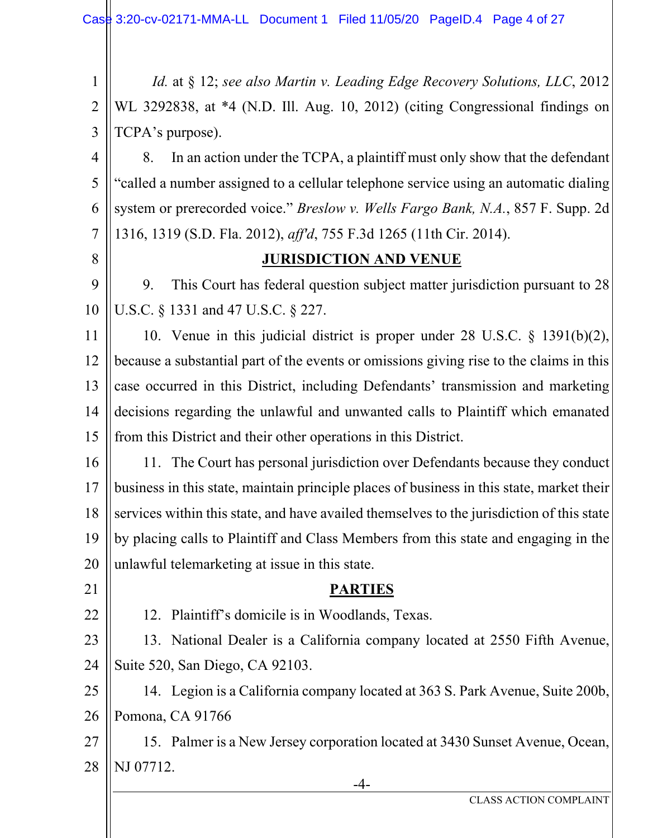-4- 1 2 3 4 5 6 7 8 9 10 11 12 13 14 15 16 17 18 19 20 21 22 23 24 25 26 27 28 *Id.* at § 12; *see also Martin v. Leading Edge Recovery Solutions, LLC*, 2012 WL 3292838, at \*4 (N.D. Ill. Aug. 10, 2012) (citing Congressional findings on TCPA's purpose). 8. In an action under the TCPA, a plaintiff must only show that the defendant "called a number assigned to a cellular telephone service using an automatic dialing system or prerecorded voice." *Breslow v. Wells Fargo Bank, N.A.*, 857 F. Supp. 2d 1316, 1319 (S.D. Fla. 2012), *aff'd*, 755 F.3d 1265 (11th Cir. 2014). **JURISDICTION AND VENUE**  9. This Court has federal question subject matter jurisdiction pursuant to 28 U.S.C. § 1331 and 47 U.S.C. § 227. 10. Venue in this judicial district is proper under 28 U.S.C. § 1391(b)(2), because a substantial part of the events or omissions giving rise to the claims in this case occurred in this District, including Defendants' transmission and marketing decisions regarding the unlawful and unwanted calls to Plaintiff which emanated from this District and their other operations in this District. 11. The Court has personal jurisdiction over Defendants because they conduct business in this state, maintain principle places of business in this state, market their services within this state, and have availed themselves to the jurisdiction of this state by placing calls to Plaintiff and Class Members from this state and engaging in the unlawful telemarketing at issue in this state. **PARTIES**  12. Plaintiff's domicile is in Woodlands, Texas. 13. National Dealer is a California company located at 2550 Fifth Avenue, Suite 520, San Diego, CA 92103. 14. Legion is a California company located at 363 S. Park Avenue, Suite 200b, Pomona, CA 91766 15. Palmer is a New Jersey corporation located at 3430 Sunset Avenue, Ocean, NJ 07712.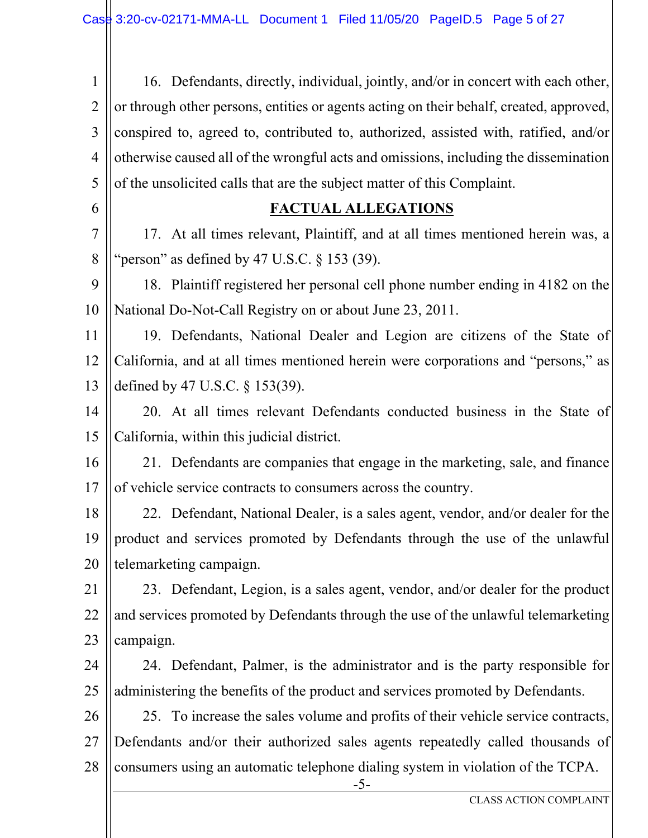1 2 3 4 5 6 16. Defendants, directly, individual, jointly, and/or in concert with each other, or through other persons, entities or agents acting on their behalf, created, approved, conspired to, agreed to, contributed to, authorized, assisted with, ratified, and/or otherwise caused all of the wrongful acts and omissions, including the dissemination of the unsolicited calls that are the subject matter of this Complaint.

### **FACTUAL ALLEGATIONS**

7 8 17. At all times relevant, Plaintiff, and at all times mentioned herein was, a "person" as defined by 47 U.S.C.  $\S$  153 (39).

9 10 18. Plaintiff registered her personal cell phone number ending in 4182 on the National Do-Not-Call Registry on or about June 23, 2011.

11 12 13 19. Defendants, National Dealer and Legion are citizens of the State of California, and at all times mentioned herein were corporations and "persons," as defined by 47 U.S.C. § 153(39).

14 15 20. At all times relevant Defendants conducted business in the State of California, within this judicial district.

16 17 21. Defendants are companies that engage in the marketing, sale, and finance of vehicle service contracts to consumers across the country.

18 19 20 22. Defendant, National Dealer, is a sales agent, vendor, and/or dealer for the product and services promoted by Defendants through the use of the unlawful telemarketing campaign.

21 22 23 23. Defendant, Legion, is a sales agent, vendor, and/or dealer for the product and services promoted by Defendants through the use of the unlawful telemarketing campaign.

24 25 24. Defendant, Palmer, is the administrator and is the party responsible for administering the benefits of the product and services promoted by Defendants.

26 27 28 25. To increase the sales volume and profits of their vehicle service contracts, Defendants and/or their authorized sales agents repeatedly called thousands of consumers using an automatic telephone dialing system in violation of the TCPA.

-5-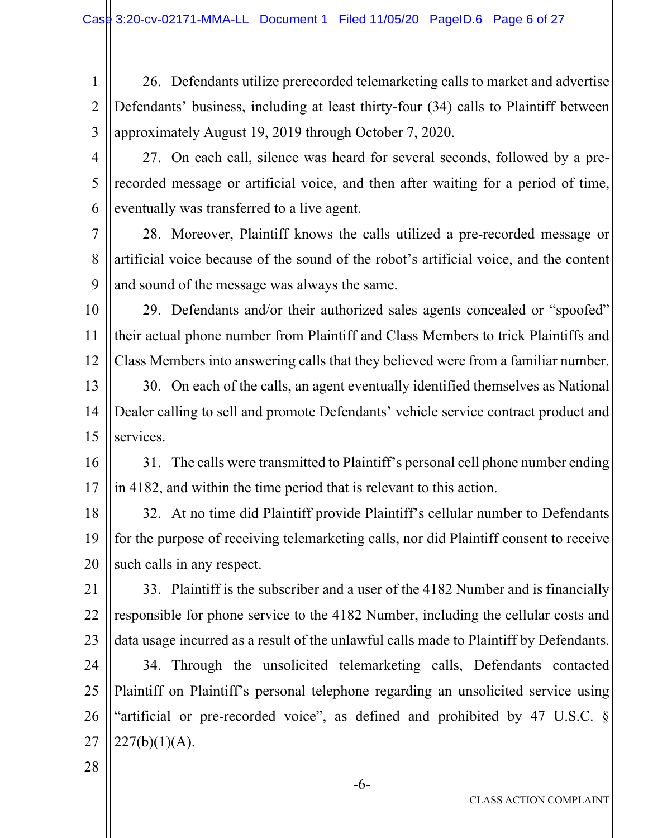- 1 2 3 26. Defendants utilize prerecorded telemarketing calls to market and advertise Defendants' business, including at least thirty-four (34) calls to Plaintiff between approximately August 19, 2019 through October 7, 2020.
- 4

5

6

27. On each call, silence was heard for several seconds, followed by a prerecorded message or artificial voice, and then after waiting for a period of time, eventually was transferred to a live agent.

7 8 9 28. Moreover, Plaintiff knows the calls utilized a pre-recorded message or artificial voice because of the sound of the robot's artificial voice, and the content and sound of the message was always the same.

10 11 12 29. Defendants and/or their authorized sales agents concealed or "spoofed" their actual phone number from Plaintiff and Class Members to trick Plaintiffs and Class Members into answering calls that they believed were from a familiar number.

13 14 15 30. On each of the calls, an agent eventually identified themselves as National Dealer calling to sell and promote Defendants' vehicle service contract product and services.

16 17 31. The calls were transmitted to Plaintiff's personal cell phone number ending in 4182, and within the time period that is relevant to this action.

18 19 20 32. At no time did Plaintiff provide Plaintiff's cellular number to Defendants for the purpose of receiving telemarketing calls, nor did Plaintiff consent to receive such calls in any respect.

21 22 23 33. Plaintiff is the subscriber and a user of the 4182 Number and is financially responsible for phone service to the 4182 Number, including the cellular costs and data usage incurred as a result of the unlawful calls made to Plaintiff by Defendants.

24 25 26 27 34. Through the unsolicited telemarketing calls, Defendants contacted Plaintiff on Plaintiff's personal telephone regarding an unsolicited service using "artificial or pre-recorded voice", as defined and prohibited by 47 U.S.C. §  $227(b)(1)(A)$ .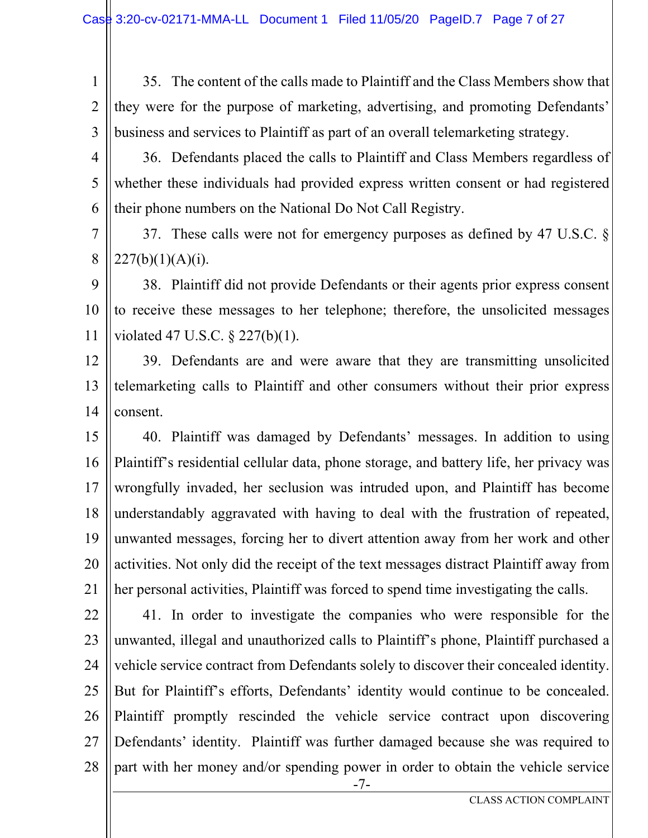1 2 3 35. The content of the calls made to Plaintiff and the Class Members show that they were for the purpose of marketing, advertising, and promoting Defendants' business and services to Plaintiff as part of an overall telemarketing strategy.

4 5 6 36. Defendants placed the calls to Plaintiff and Class Members regardless of whether these individuals had provided express written consent or had registered their phone numbers on the National Do Not Call Registry.

7 8 37. These calls were not for emergency purposes as defined by 47 U.S.C. §  $227(b)(1)(A)(i)$ .

9 10 11 38. Plaintiff did not provide Defendants or their agents prior express consent to receive these messages to her telephone; therefore, the unsolicited messages violated 47 U.S.C. § 227(b)(1).

12 13 14 39. Defendants are and were aware that they are transmitting unsolicited telemarketing calls to Plaintiff and other consumers without their prior express consent.

15 16 17 18 19 20 21 40. Plaintiff was damaged by Defendants' messages. In addition to using Plaintiff's residential cellular data, phone storage, and battery life, her privacy was wrongfully invaded, her seclusion was intruded upon, and Plaintiff has become understandably aggravated with having to deal with the frustration of repeated, unwanted messages, forcing her to divert attention away from her work and other activities. Not only did the receipt of the text messages distract Plaintiff away from her personal activities, Plaintiff was forced to spend time investigating the calls.

-7- 22 23 24 25 26 27 28 41. In order to investigate the companies who were responsible for the unwanted, illegal and unauthorized calls to Plaintiff's phone, Plaintiff purchased a vehicle service contract from Defendants solely to discover their concealed identity. But for Plaintiff's efforts, Defendants' identity would continue to be concealed. Plaintiff promptly rescinded the vehicle service contract upon discovering Defendants' identity. Plaintiff was further damaged because she was required to part with her money and/or spending power in order to obtain the vehicle service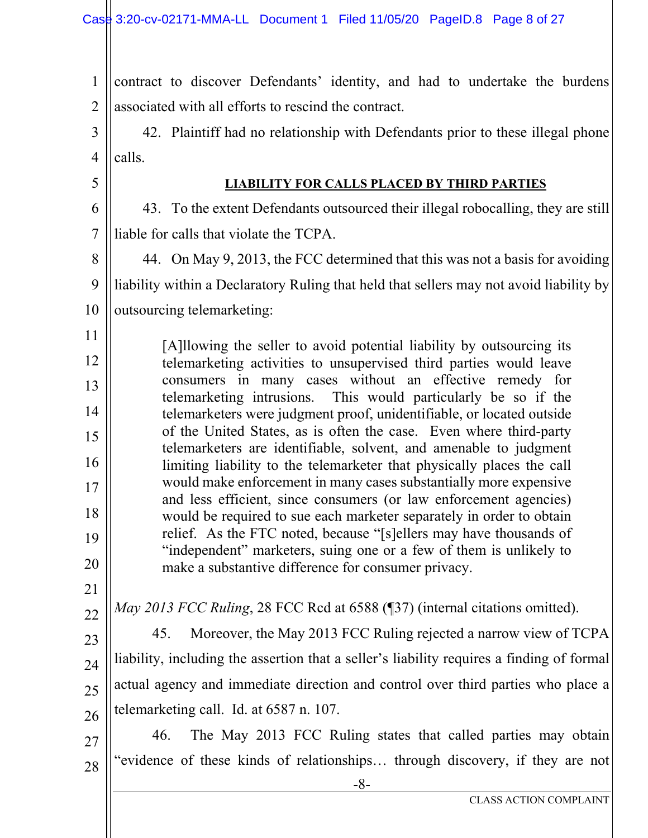-8- CLASS ACTION COMPLAINT 1 2 3 4 5 6 7 8 9 10 11 12 13 14 15 16 17 18 19 20 21 22 23 24 25 26 27 28 contract to discover Defendants' identity, and had to undertake the burdens associated with all efforts to rescind the contract. 42. Plaintiff had no relationship with Defendants prior to these illegal phone calls. **LIABILITY FOR CALLS PLACED BY THIRD PARTIES** 43. To the extent Defendants outsourced their illegal robocalling, they are still liable for calls that violate the TCPA. 44. On May 9, 2013, the FCC determined that this was not a basis for avoiding liability within a Declaratory Ruling that held that sellers may not avoid liability by outsourcing telemarketing: [A]llowing the seller to avoid potential liability by outsourcing its telemarketing activities to unsupervised third parties would leave consumers in many cases without an effective remedy for telemarketing intrusions. This would particularly be so if the telemarketers were judgment proof, unidentifiable, or located outside of the United States, as is often the case. Even where third-party telemarketers are identifiable, solvent, and amenable to judgment limiting liability to the telemarketer that physically places the call would make enforcement in many cases substantially more expensive and less efficient, since consumers (or law enforcement agencies) would be required to sue each marketer separately in order to obtain relief. As the FTC noted, because "[s]ellers may have thousands of "independent" marketers, suing one or a few of them is unlikely to make a substantive difference for consumer privacy. *May 2013 FCC Ruling*, 28 FCC Rcd at 6588 (¶37) (internal citations omitted). 45. Moreover, the May 2013 FCC Ruling rejected a narrow view of TCPA liability, including the assertion that a seller's liability requires a finding of formal actual agency and immediate direction and control over third parties who place a telemarketing call. Id. at 6587 n. 107. 46. The May 2013 FCC Ruling states that called parties may obtain "evidence of these kinds of relationships… through discovery, if they are not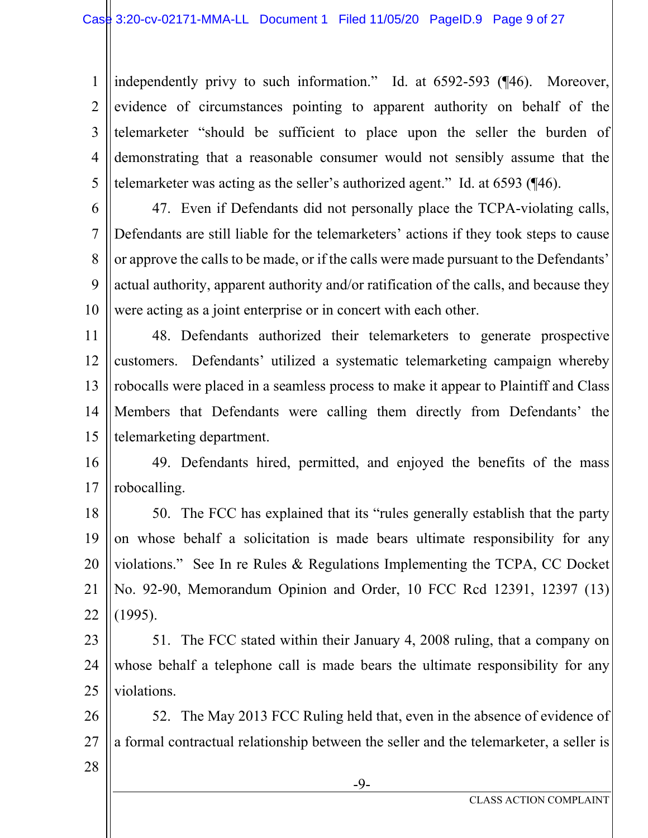1 2 3 4 5 independently privy to such information." Id. at 6592-593 (¶46). Moreover, evidence of circumstances pointing to apparent authority on behalf of the telemarketer "should be sufficient to place upon the seller the burden of demonstrating that a reasonable consumer would not sensibly assume that the telemarketer was acting as the seller's authorized agent." Id. at 6593 (¶46).

6

7 8 9 10 47. Even if Defendants did not personally place the TCPA-violating calls, Defendants are still liable for the telemarketers' actions if they took steps to cause or approve the calls to be made, or if the calls were made pursuant to the Defendants' actual authority, apparent authority and/or ratification of the calls, and because they were acting as a joint enterprise or in concert with each other.

11 12 13 14 15 48. Defendants authorized their telemarketers to generate prospective customers. Defendants' utilized a systematic telemarketing campaign whereby robocalls were placed in a seamless process to make it appear to Plaintiff and Class Members that Defendants were calling them directly from Defendants' the telemarketing department.

16 17 49. Defendants hired, permitted, and enjoyed the benefits of the mass robocalling.

18 19 20 21 22 50. The FCC has explained that its "rules generally establish that the party on whose behalf a solicitation is made bears ultimate responsibility for any violations." See In re Rules & Regulations Implementing the TCPA, CC Docket No. 92-90, Memorandum Opinion and Order, 10 FCC Rcd 12391, 12397 (13) (1995).

23 24 25 51. The FCC stated within their January 4, 2008 ruling, that a company on whose behalf a telephone call is made bears the ultimate responsibility for any violations.

26 27 52. The May 2013 FCC Ruling held that, even in the absence of evidence of a formal contractual relationship between the seller and the telemarketer, a seller is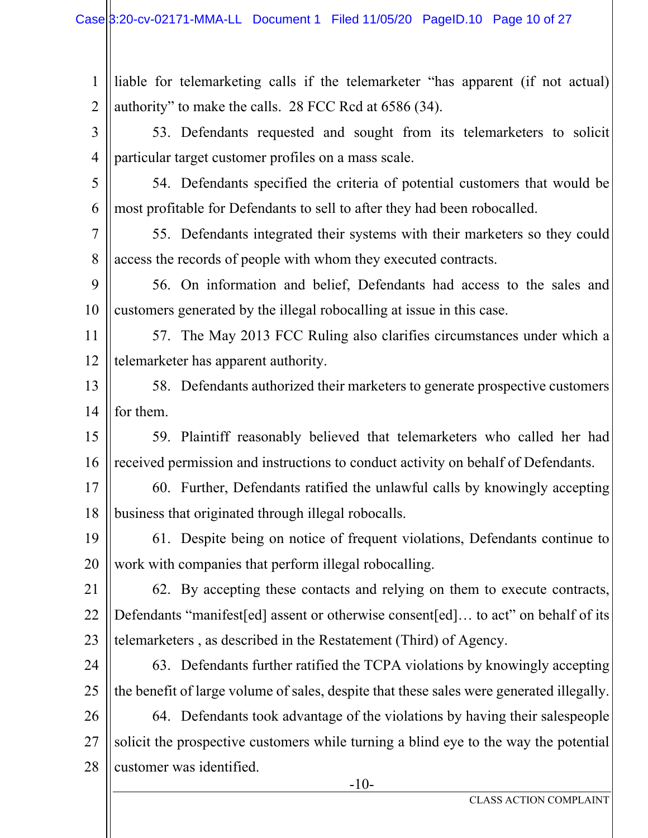-10- 1 2 3 4 5 6 7 8 9 10 11 12 13 14 15 16 17 18 19 20 21 22 23 24 25 26 27 28 liable for telemarketing calls if the telemarketer "has apparent (if not actual) authority" to make the calls. 28 FCC Rcd at 6586 (34). 53. Defendants requested and sought from its telemarketers to solicit particular target customer profiles on a mass scale. 54. Defendants specified the criteria of potential customers that would be most profitable for Defendants to sell to after they had been robocalled. 55. Defendants integrated their systems with their marketers so they could access the records of people with whom they executed contracts. 56. On information and belief, Defendants had access to the sales and customers generated by the illegal robocalling at issue in this case. 57. The May 2013 FCC Ruling also clarifies circumstances under which a telemarketer has apparent authority. 58. Defendants authorized their marketers to generate prospective customers for them. 59. Plaintiff reasonably believed that telemarketers who called her had received permission and instructions to conduct activity on behalf of Defendants. 60. Further, Defendants ratified the unlawful calls by knowingly accepting business that originated through illegal robocalls. 61. Despite being on notice of frequent violations, Defendants continue to work with companies that perform illegal robocalling. 62. By accepting these contacts and relying on them to execute contracts, Defendants "manifest[ed] assent or otherwise consent[ed]... to act" on behalf of its telemarketers , as described in the Restatement (Third) of Agency. 63. Defendants further ratified the TCPA violations by knowingly accepting the benefit of large volume of sales, despite that these sales were generated illegally. 64. Defendants took advantage of the violations by having their salespeople solicit the prospective customers while turning a blind eye to the way the potential customer was identified.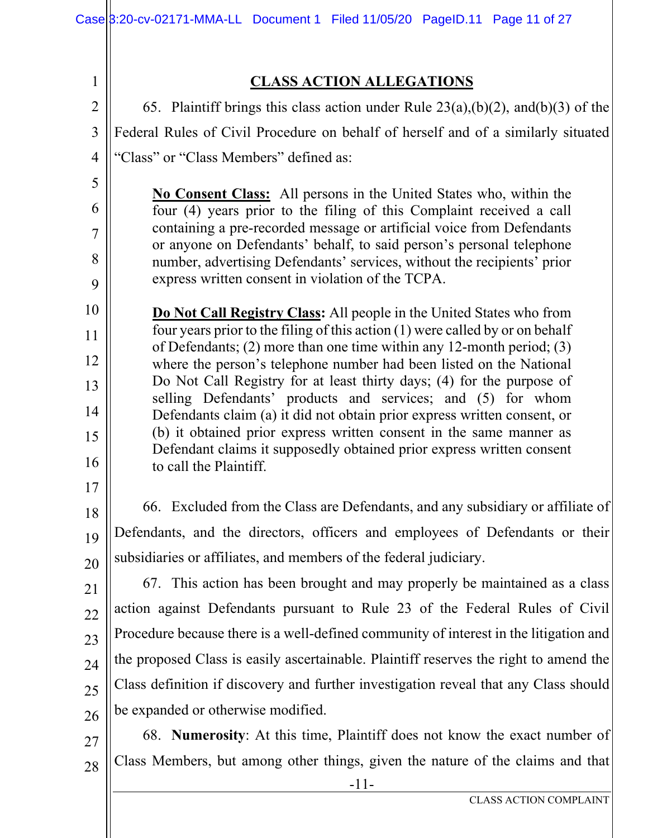1 2 3 4 5 6 7 8 9 10 11 12 13 14 15 16 17 18 19 20 21 22 23 24 25 26 27 28 **CLASS ACTION ALLEGATIONS**  65. Plaintiff brings this class action under Rule 23(a),(b)(2), and(b)(3) of the Federal Rules of Civil Procedure on behalf of herself and of a similarly situated "Class" or "Class Members" defined as: **No Consent Class:** All persons in the United States who, within the four (4) years prior to the filing of this Complaint received a call containing a pre-recorded message or artificial voice from Defendants or anyone on Defendants' behalf, to said person's personal telephone number, advertising Defendants' services, without the recipients' prior express written consent in violation of the TCPA. **Do Not Call Registry Class:** All people in the United States who from four years prior to the filing of this action (1) were called by or on behalf of Defendants; (2) more than one time within any 12-month period; (3) where the person's telephone number had been listed on the National Do Not Call Registry for at least thirty days; (4) for the purpose of selling Defendants' products and services; and (5) for whom Defendants claim (a) it did not obtain prior express written consent, or (b) it obtained prior express written consent in the same manner as Defendant claims it supposedly obtained prior express written consent to call the Plaintiff. 66. Excluded from the Class are Defendants, and any subsidiary or affiliate of Defendants, and the directors, officers and employees of Defendants or their subsidiaries or affiliates, and members of the federal judiciary. 67. This action has been brought and may properly be maintained as a class action against Defendants pursuant to Rule 23 of the Federal Rules of Civil Procedure because there is a well-defined community of interest in the litigation and the proposed Class is easily ascertainable. Plaintiff reserves the right to amend the Class definition if discovery and further investigation reveal that any Class should be expanded or otherwise modified. 68. **Numerosity**: At this time, Plaintiff does not know the exact number of Class Members, but among other things, given the nature of the claims and that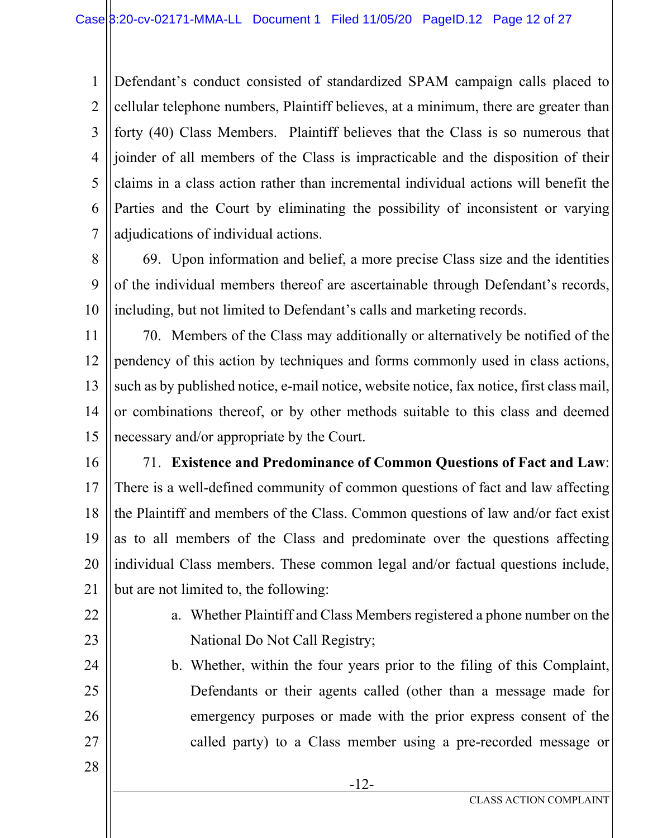1 2 3 4 5 6 7 Defendant's conduct consisted of standardized SPAM campaign calls placed to cellular telephone numbers, Plaintiff believes, at a minimum, there are greater than forty (40) Class Members. Plaintiff believes that the Class is so numerous that joinder of all members of the Class is impracticable and the disposition of their claims in a class action rather than incremental individual actions will benefit the Parties and the Court by eliminating the possibility of inconsistent or varying adjudications of individual actions.

8 9 10 69. Upon information and belief, a more precise Class size and the identities of the individual members thereof are ascertainable through Defendant's records, including, but not limited to Defendant's calls and marketing records.

11 12 13 14 15 70. Members of the Class may additionally or alternatively be notified of the pendency of this action by techniques and forms commonly used in class actions, such as by published notice, e-mail notice, website notice, fax notice, first class mail, or combinations thereof, or by other methods suitable to this class and deemed necessary and/or appropriate by the Court.

- 16 17 18 19 20 21 71. **Existence and Predominance of Common Questions of Fact and Law**: There is a well-defined community of common questions of fact and law affecting the Plaintiff and members of the Class. Common questions of law and/or fact exist as to all members of the Class and predominate over the questions affecting individual Class members. These common legal and/or factual questions include, but are not limited to, the following:
- 22 23

24

25

26

- a. Whether Plaintiff and Class Members registered a phone number on the National Do Not Call Registry;
- b. Whether, within the four years prior to the filing of this Complaint, Defendants or their agents called (other than a message made for emergency purposes or made with the prior express consent of the called party) to a Class member using a pre-recorded message or
- 28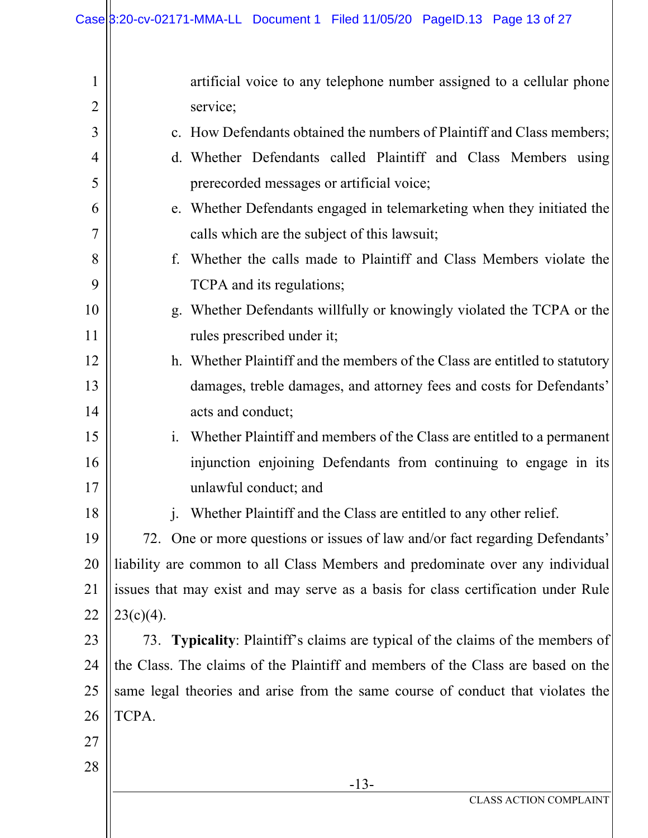| 1              | artificial voice to any telephone number assigned to a cellular phone             |  |  |  |
|----------------|-----------------------------------------------------------------------------------|--|--|--|
| $\overline{2}$ | service;                                                                          |  |  |  |
| 3              | c. How Defendants obtained the numbers of Plaintiff and Class members;            |  |  |  |
| 4              | d. Whether Defendants called Plaintiff and Class Members using                    |  |  |  |
| 5              | prerecorded messages or artificial voice;                                         |  |  |  |
| 6              | e. Whether Defendants engaged in telemarketing when they initiated the            |  |  |  |
| 7              | calls which are the subject of this lawsuit;                                      |  |  |  |
| 8              | f. Whether the calls made to Plaintiff and Class Members violate the              |  |  |  |
| 9              | TCPA and its regulations;                                                         |  |  |  |
| 10             | g. Whether Defendants willfully or knowingly violated the TCPA or the             |  |  |  |
| 11             | rules prescribed under it;                                                        |  |  |  |
| 12             | h. Whether Plaintiff and the members of the Class are entitled to statutory       |  |  |  |
| 13             | damages, treble damages, and attorney fees and costs for Defendants'              |  |  |  |
| 14             | acts and conduct;                                                                 |  |  |  |
| 15             | i. Whether Plaintiff and members of the Class are entitled to a permanent         |  |  |  |
| 16             | injunction enjoining Defendants from continuing to engage in its                  |  |  |  |
| 17             | unlawful conduct; and                                                             |  |  |  |
| 18             | Whether Plaintiff and the Class are entitled to any other relief.<br>1.           |  |  |  |
| 19             | 72. One or more questions or issues of law and/or fact regarding Defendants'      |  |  |  |
| 20             | liability are common to all Class Members and predominate over any individual     |  |  |  |
| 21             | issues that may exist and may serve as a basis for class certification under Rule |  |  |  |
| 22             | $23(c)(4)$ .                                                                      |  |  |  |
| 23             | 73. Typicality: Plaintiff's claims are typical of the claims of the members of    |  |  |  |
| 24             | the Class. The claims of the Plaintiff and members of the Class are based on the  |  |  |  |
| 25             | same legal theories and arise from the same course of conduct that violates the   |  |  |  |
| 26             | TCPA.                                                                             |  |  |  |
| 27             |                                                                                   |  |  |  |
| 28             |                                                                                   |  |  |  |
|                | $-13-$<br><b>CLASS ACTION COMPLAINT</b>                                           |  |  |  |
|                |                                                                                   |  |  |  |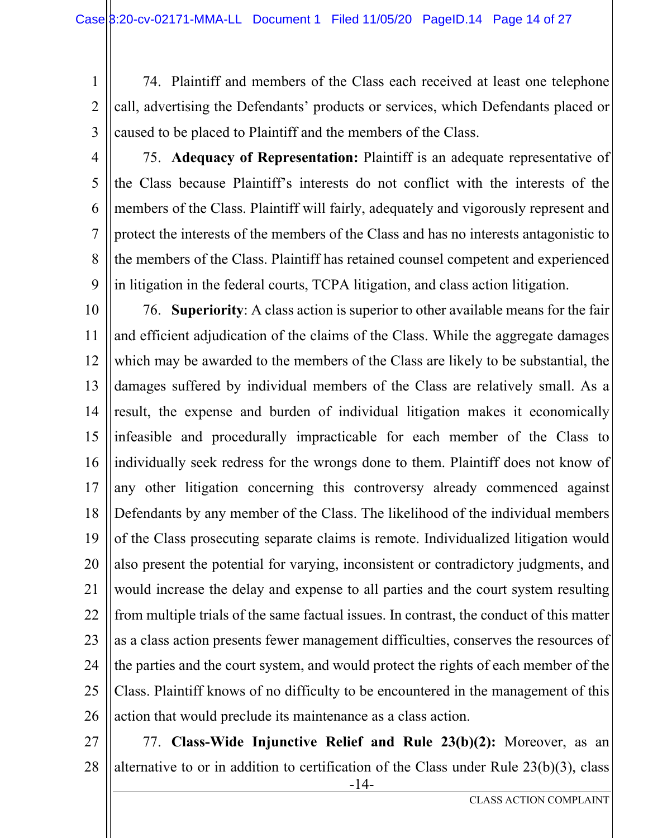- 1 2 3 74. Plaintiff and members of the Class each received at least one telephone call, advertising the Defendants' products or services, which Defendants placed or caused to be placed to Plaintiff and the members of the Class.
- 4 5 6 7 8 9 75. **Adequacy of Representation:** Plaintiff is an adequate representative of the Class because Plaintiff's interests do not conflict with the interests of the members of the Class. Plaintiff will fairly, adequately and vigorously represent and protect the interests of the members of the Class and has no interests antagonistic to the members of the Class. Plaintiff has retained counsel competent and experienced in litigation in the federal courts, TCPA litigation, and class action litigation.

10 11 12 13 14 15 16 17 18 19 20 21 22 23 24 25 26 76. **Superiority**: A class action is superior to other available means for the fair and efficient adjudication of the claims of the Class. While the aggregate damages which may be awarded to the members of the Class are likely to be substantial, the damages suffered by individual members of the Class are relatively small. As a result, the expense and burden of individual litigation makes it economically infeasible and procedurally impracticable for each member of the Class to individually seek redress for the wrongs done to them. Plaintiff does not know of any other litigation concerning this controversy already commenced against Defendants by any member of the Class. The likelihood of the individual members of the Class prosecuting separate claims is remote. Individualized litigation would also present the potential for varying, inconsistent or contradictory judgments, and would increase the delay and expense to all parties and the court system resulting from multiple trials of the same factual issues. In contrast, the conduct of this matter as a class action presents fewer management difficulties, conserves the resources of the parties and the court system, and would protect the rights of each member of the Class. Plaintiff knows of no difficulty to be encountered in the management of this action that would preclude its maintenance as a class action.

-14- 27 28 77. **Class-Wide Injunctive Relief and Rule 23(b)(2):** Moreover, as an alternative to or in addition to certification of the Class under Rule 23(b)(3), class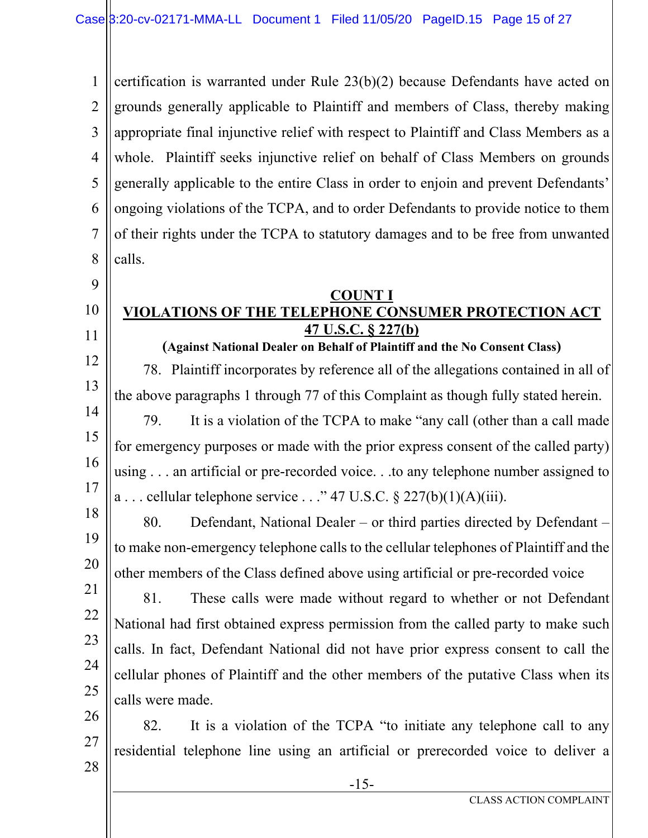1 2 3 4 5 6 7 8 certification is warranted under Rule 23(b)(2) because Defendants have acted on grounds generally applicable to Plaintiff and members of Class, thereby making appropriate final injunctive relief with respect to Plaintiff and Class Members as a whole. Plaintiff seeks injunctive relief on behalf of Class Members on grounds generally applicable to the entire Class in order to enjoin and prevent Defendants' ongoing violations of the TCPA, and to order Defendants to provide notice to them of their rights under the TCPA to statutory damages and to be free from unwanted calls.

#### 10 11 **COUNT I VIOLATIONS OF THE TELEPHONE CONSUMER PROTECTION ACT 47 U.S.C. § 227(b)**

9

21

22

23

24

25

12 13 14 15 16 17 **(Against National Dealer on Behalf of Plaintiff and the No Consent Class)**  78. Plaintiff incorporates by reference all of the allegations contained in all of the above paragraphs 1 through 77 of this Complaint as though fully stated herein. 79. It is a violation of the TCPA to make "any call (other than a call made for emergency purposes or made with the prior express consent of the called party) using . . . an artificial or pre-recorded voice. . .to any telephone number assigned to a ... cellular telephone service ..." 47 U.S.C.  $\S 227(b)(1)(A)(iii)$ .

18 19 20 80. Defendant, National Dealer – or third parties directed by Defendant – to make non-emergency telephone calls to the cellular telephones of Plaintiff and the other members of the Class defined above using artificial or pre-recorded voice

81. These calls were made without regard to whether or not Defendant National had first obtained express permission from the called party to make such calls. In fact, Defendant National did not have prior express consent to call the cellular phones of Plaintiff and the other members of the putative Class when its calls were made.

26 27 28 82. It is a violation of the TCPA "to initiate any telephone call to any residential telephone line using an artificial or prerecorded voice to deliver a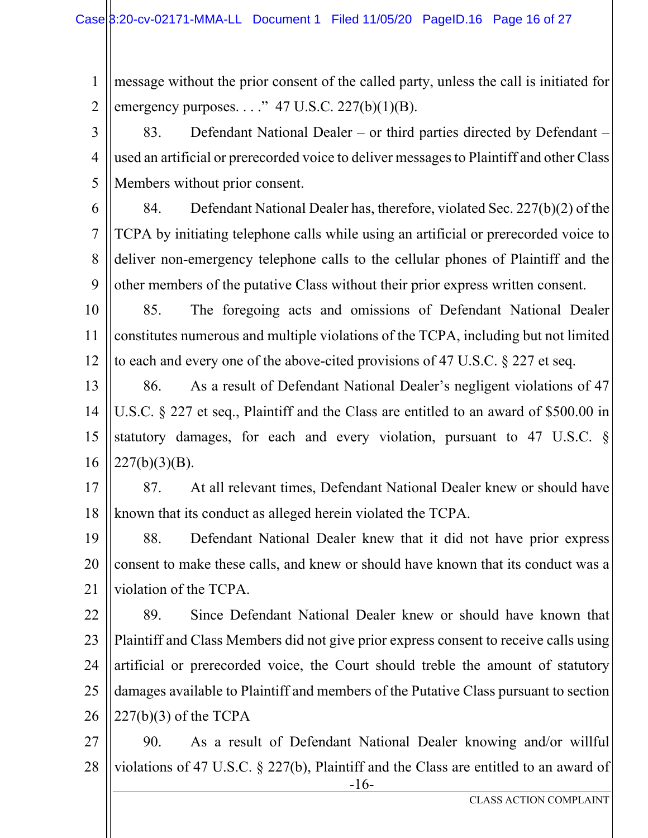1 2 message without the prior consent of the called party, unless the call is initiated for emergency purposes.  $\ldots$ ." 47 U.S.C. 227(b)(1)(B).

3 4 5 83. Defendant National Dealer – or third parties directed by Defendant – used an artificial or prerecorded voice to deliver messages to Plaintiff and other Class Members without prior consent.

6

7 8 9 84. Defendant National Dealer has, therefore, violated Sec. 227(b)(2) of the TCPA by initiating telephone calls while using an artificial or prerecorded voice to deliver non-emergency telephone calls to the cellular phones of Plaintiff and the other members of the putative Class without their prior express written consent.

10 11 12 85. The foregoing acts and omissions of Defendant National Dealer constitutes numerous and multiple violations of the TCPA, including but not limited to each and every one of the above-cited provisions of 47 U.S.C. § 227 et seq.

13 14 15 16 86. As a result of Defendant National Dealer's negligent violations of 47 U.S.C. § 227 et seq., Plaintiff and the Class are entitled to an award of \$500.00 in statutory damages, for each and every violation, pursuant to 47 U.S.C. §  $227(b)(3)(B)$ .

17 18 87. At all relevant times, Defendant National Dealer knew or should have known that its conduct as alleged herein violated the TCPA.

19 20 21 88. Defendant National Dealer knew that it did not have prior express consent to make these calls, and knew or should have known that its conduct was a violation of the TCPA.

22 23 24 25 26 89. Since Defendant National Dealer knew or should have known that Plaintiff and Class Members did not give prior express consent to receive calls using artificial or prerecorded voice, the Court should treble the amount of statutory damages available to Plaintiff and members of the Putative Class pursuant to section 227(b)(3) of the TCPA

-16- 27 28 90. As a result of Defendant National Dealer knowing and/or willful violations of 47 U.S.C. § 227(b), Plaintiff and the Class are entitled to an award of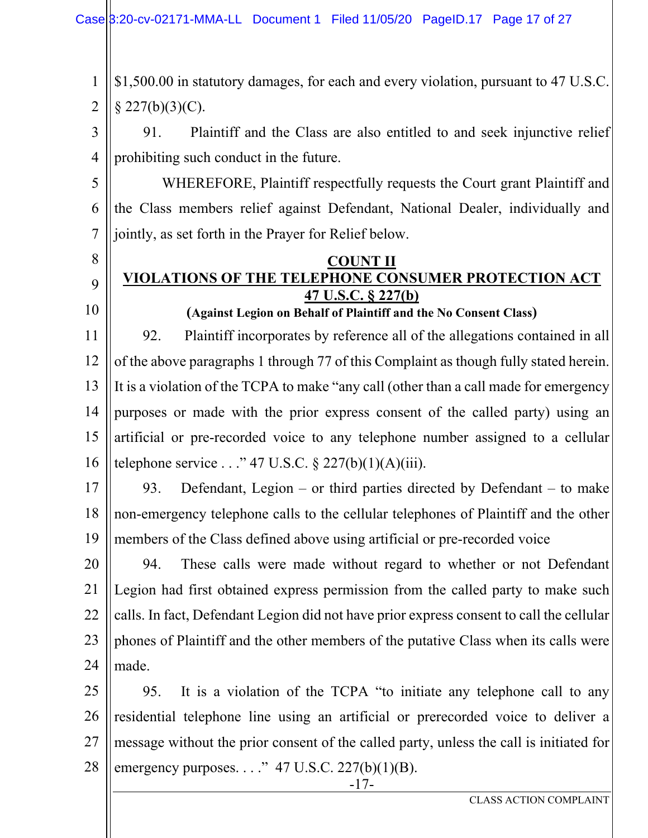1 2 \$1,500.00 in statutory damages, for each and every violation, pursuant to 47 U.S.C.  $§$  227(b)(3)(C).

3 4 91. Plaintiff and the Class are also entitled to and seek injunctive relief prohibiting such conduct in the future.

5 6 7 WHEREFORE, Plaintiff respectfully requests the Court grant Plaintiff and the Class members relief against Defendant, National Dealer, individually and jointly, as set forth in the Prayer for Relief below.

# 8

9

10

#### **COUNT II VIOLATIONS OF THE TELEPHONE CONSUMER PROTECTION ACT**

**47 U.S.C. § 227(b)** 

11 12 13 14 15 16 **(Against Legion on Behalf of Plaintiff and the No Consent Class)**  92. Plaintiff incorporates by reference all of the allegations contained in all of the above paragraphs 1 through 77 of this Complaint as though fully stated herein. It is a violation of the TCPA to make "any call (other than a call made for emergency purposes or made with the prior express consent of the called party) using an artificial or pre-recorded voice to any telephone number assigned to a cellular telephone service  $\ldots$  " 47 U.S.C. § 227(b)(1)(A)(iii).

17 18 19 93. Defendant, Legion – or third parties directed by Defendant – to make non-emergency telephone calls to the cellular telephones of Plaintiff and the other members of the Class defined above using artificial or pre-recorded voice

20 21 22 23 24 94. These calls were made without regard to whether or not Defendant Legion had first obtained express permission from the called party to make such calls. In fact, Defendant Legion did not have prior express consent to call the cellular phones of Plaintiff and the other members of the putative Class when its calls were made.

25 26 27 28 95. It is a violation of the TCPA "to initiate any telephone call to any residential telephone line using an artificial or prerecorded voice to deliver a message without the prior consent of the called party, unless the call is initiated for emergency purposes.  $\ldots$ " 47 U.S.C. 227(b)(1)(B).

-17-

CLASS ACTION COMPLAINT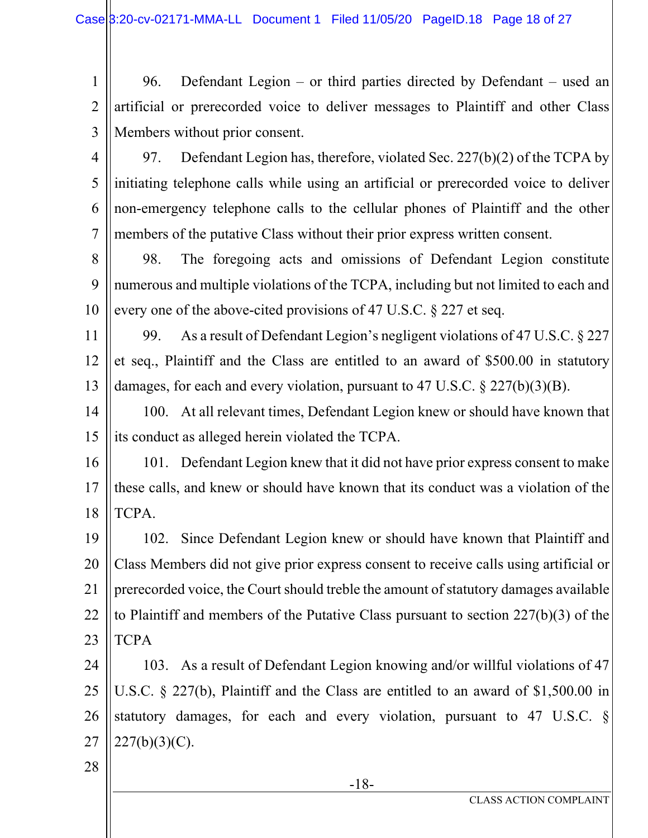1 2 3 96. Defendant Legion – or third parties directed by Defendant – used an artificial or prerecorded voice to deliver messages to Plaintiff and other Class Members without prior consent.

4 5 6 7 97. Defendant Legion has, therefore, violated Sec. 227(b)(2) of the TCPA by initiating telephone calls while using an artificial or prerecorded voice to deliver non-emergency telephone calls to the cellular phones of Plaintiff and the other members of the putative Class without their prior express written consent.

8 9 10 98. The foregoing acts and omissions of Defendant Legion constitute numerous and multiple violations of the TCPA, including but not limited to each and every one of the above-cited provisions of 47 U.S.C. § 227 et seq.

11 12 13 99. As a result of Defendant Legion's negligent violations of 47 U.S.C. § 227 et seq., Plaintiff and the Class are entitled to an award of \$500.00 in statutory damages, for each and every violation, pursuant to 47 U.S.C. § 227(b)(3)(B).

14 15 100. At all relevant times, Defendant Legion knew or should have known that its conduct as alleged herein violated the TCPA.

16 17 18 101. Defendant Legion knew that it did not have prior express consent to make these calls, and knew or should have known that its conduct was a violation of the TCPA.

19 20 21 22 23 102. Since Defendant Legion knew or should have known that Plaintiff and Class Members did not give prior express consent to receive calls using artificial or prerecorded voice, the Court should treble the amount of statutory damages available to Plaintiff and members of the Putative Class pursuant to section 227(b)(3) of the TCPA

24 25 26 27 103. As a result of Defendant Legion knowing and/or willful violations of 47 U.S.C. § 227(b), Plaintiff and the Class are entitled to an award of \$1,500.00 in statutory damages, for each and every violation, pursuant to 47 U.S.C. §  $227(b)(3)(C)$ .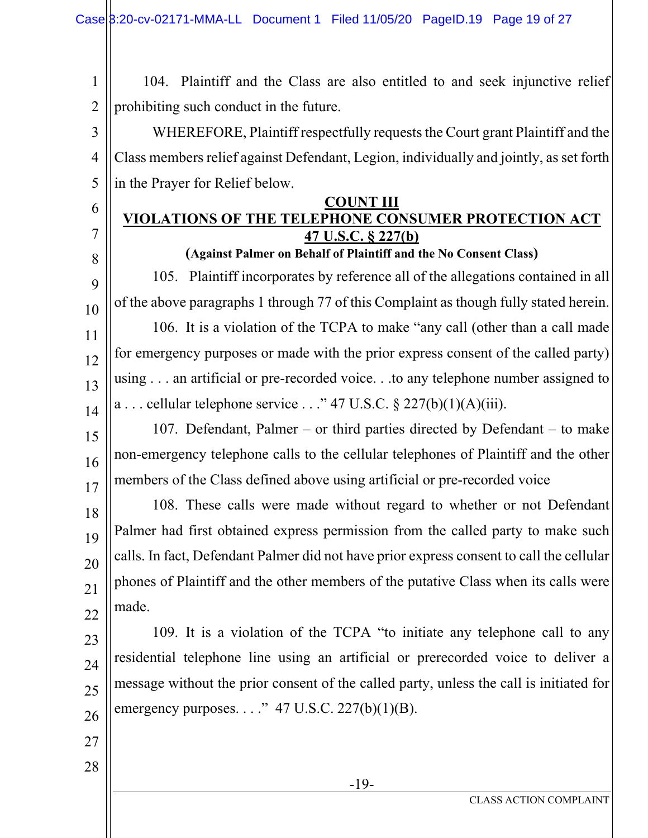1 2 104. Plaintiff and the Class are also entitled to and seek injunctive relief prohibiting such conduct in the future.

3 4 5 WHEREFORE, Plaintiff respectfully requests the Court grant Plaintiff and the Class members relief against Defendant, Legion, individually and jointly, as set forth in the Prayer for Relief below.

#### **COUNT III VIOLATIONS OF THE TELEPHONE CONSUMER PROTECTION ACT 47 U.S.C. § 227(b)**

6

7

8

27

28

**(Against Palmer on Behalf of Plaintiff and the No Consent Class)** 

9 10 11 12 13 14 105. Plaintiff incorporates by reference all of the allegations contained in all of the above paragraphs 1 through 77 of this Complaint as though fully stated herein. 106. It is a violation of the TCPA to make "any call (other than a call made for emergency purposes or made with the prior express consent of the called party) using . . . an artificial or pre-recorded voice. . .to any telephone number assigned to a ... cellular telephone service ..." 47 U.S.C.  $\S 227(b)(1)(A)(iii)$ .

15 16 17 107. Defendant, Palmer – or third parties directed by Defendant – to make non-emergency telephone calls to the cellular telephones of Plaintiff and the other members of the Class defined above using artificial or pre-recorded voice

18 19 20 21 22 108. These calls were made without regard to whether or not Defendant Palmer had first obtained express permission from the called party to make such calls. In fact, Defendant Palmer did not have prior express consent to call the cellular phones of Plaintiff and the other members of the putative Class when its calls were made.

23 24 25 26 109. It is a violation of the TCPA "to initiate any telephone call to any residential telephone line using an artificial or prerecorded voice to deliver a message without the prior consent of the called party, unless the call is initiated for emergency purposes.  $\ldots$ ." 47 U.S.C. 227(b)(1)(B).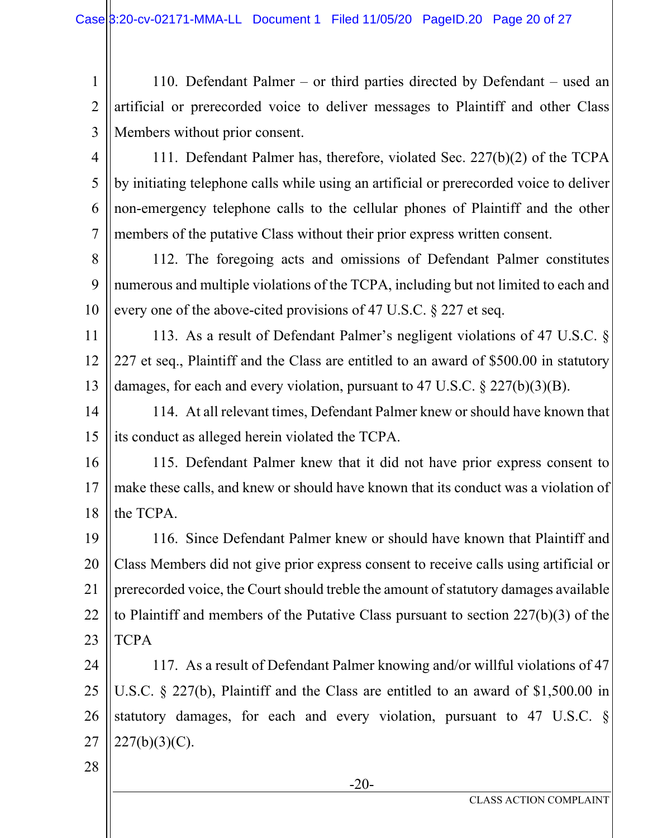1 2 3 110. Defendant Palmer – or third parties directed by Defendant – used an artificial or prerecorded voice to deliver messages to Plaintiff and other Class Members without prior consent.

4 5 6 7 111. Defendant Palmer has, therefore, violated Sec. 227(b)(2) of the TCPA by initiating telephone calls while using an artificial or prerecorded voice to deliver non-emergency telephone calls to the cellular phones of Plaintiff and the other members of the putative Class without their prior express written consent.

8 9 10 112. The foregoing acts and omissions of Defendant Palmer constitutes numerous and multiple violations of the TCPA, including but not limited to each and every one of the above-cited provisions of 47 U.S.C. § 227 et seq.

11 12 13 113. As a result of Defendant Palmer's negligent violations of 47 U.S.C. § 227 et seq., Plaintiff and the Class are entitled to an award of \$500.00 in statutory damages, for each and every violation, pursuant to 47 U.S.C. § 227(b)(3)(B).

14 15 114. At all relevant times, Defendant Palmer knew or should have known that its conduct as alleged herein violated the TCPA.

16 17 18 115. Defendant Palmer knew that it did not have prior express consent to make these calls, and knew or should have known that its conduct was a violation of the TCPA.

19 20 21 22 23 116. Since Defendant Palmer knew or should have known that Plaintiff and Class Members did not give prior express consent to receive calls using artificial or prerecorded voice, the Court should treble the amount of statutory damages available to Plaintiff and members of the Putative Class pursuant to section 227(b)(3) of the **TCPA** 

24 25 26 27 117. As a result of Defendant Palmer knowing and/or willful violations of 47 U.S.C. § 227(b), Plaintiff and the Class are entitled to an award of \$1,500.00 in statutory damages, for each and every violation, pursuant to 47 U.S.C. §  $227(b)(3)(C)$ .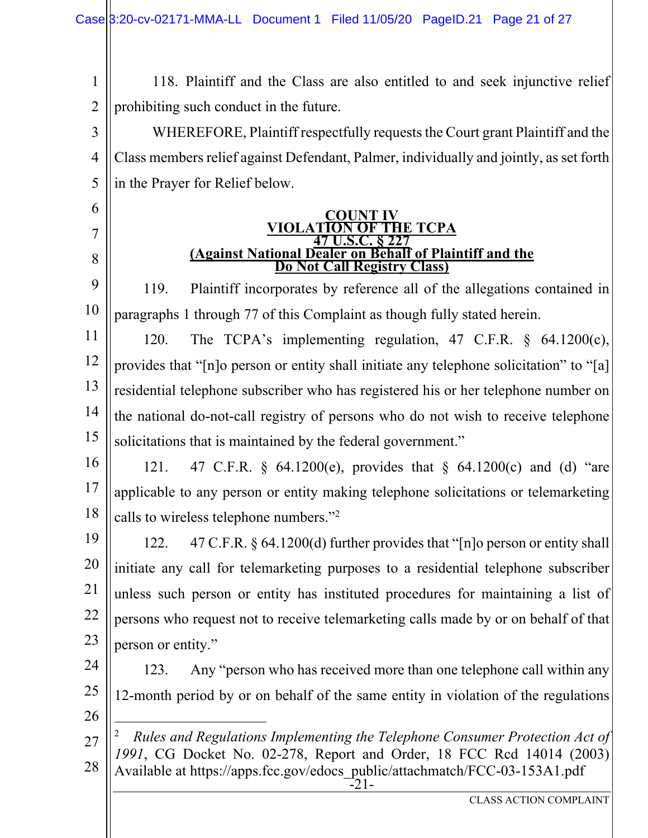1 2 118. Plaintiff and the Class are also entitled to and seek injunctive relief prohibiting such conduct in the future.

3 4 5 WHEREFORE, Plaintiff respectfully requests the Court grant Plaintiff and the Class members relief against Defendant, Palmer, individually and jointly, as set forth in the Prayer for Relief below.

### **COUNT IV VIOLATION OF THE TCPA 47 Against National Dealer on Behalf of Plaintiff and the Do Not Call Registry Class)**

9 10 119. Plaintiff incorporates by reference all of the allegations contained in paragraphs 1 through 77 of this Complaint as though fully stated herein.

11 12 13 14 15 120. The TCPA's implementing regulation, 47 C.F.R. § 64.1200(c), provides that "[n]o person or entity shall initiate any telephone solicitation" to "[a] residential telephone subscriber who has registered his or her telephone number on the national do-not-call registry of persons who do not wish to receive telephone solicitations that is maintained by the federal government."

16 17 18 121. 47 C.F.R. § 64.1200(e), provides that § 64.1200(c) and (d) "are applicable to any person or entity making telephone solicitations or telemarketing calls to wireless telephone numbers."2

19 20 21 22 23 122. 47 C.F.R. § 64.1200(d) further provides that "[n]o person or entity shall initiate any call for telemarketing purposes to a residential telephone subscriber unless such person or entity has instituted procedures for maintaining a list of persons who request not to receive telemarketing calls made by or on behalf of that person or entity."

- 24 25 123. Any "person who has received more than one telephone call within any 12-month period by or on behalf of the same entity in violation of the regulations
- 26

6

7

8

-21- 27 28 2 *Rules and Regulations Implementing the Telephone Consumer Protection Act of 1991*, CG Docket No. 02-278, Report and Order, 18 FCC Rcd 14014 (2003) Available at https://apps.fcc.gov/edocs\_public/attachmatch/FCC-03-153A1.pdf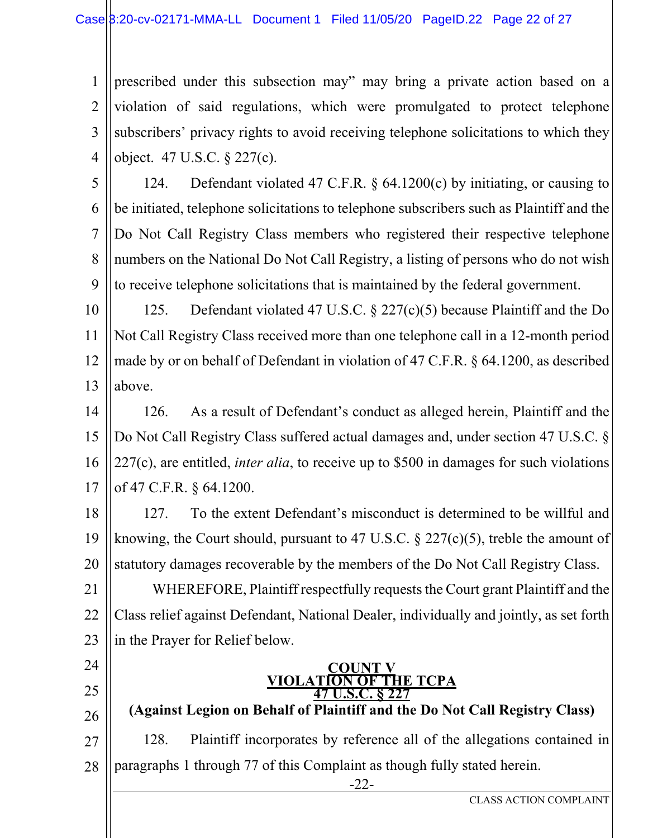1 2 3 4 prescribed under this subsection may" may bring a private action based on a violation of said regulations, which were promulgated to protect telephone subscribers' privacy rights to avoid receiving telephone solicitations to which they object. 47 U.S.C. § 227(c).

5 6 7 8 9 124. Defendant violated 47 C.F.R. § 64.1200(c) by initiating, or causing to be initiated, telephone solicitations to telephone subscribers such as Plaintiff and the Do Not Call Registry Class members who registered their respective telephone numbers on the National Do Not Call Registry, a listing of persons who do not wish to receive telephone solicitations that is maintained by the federal government.

10 11 12 13 125. Defendant violated 47 U.S.C. § 227(c)(5) because Plaintiff and the Do Not Call Registry Class received more than one telephone call in a 12-month period made by or on behalf of Defendant in violation of 47 C.F.R. § 64.1200, as described above.

14 15 16 17 126. As a result of Defendant's conduct as alleged herein, Plaintiff and the Do Not Call Registry Class suffered actual damages and, under section 47 U.S.C. § 227(c), are entitled, *inter alia*, to receive up to \$500 in damages for such violations of 47 C.F.R. § 64.1200.

18 19 20 127. To the extent Defendant's misconduct is determined to be willful and knowing, the Court should, pursuant to 47 U.S.C.  $\S$  227(c)(5), treble the amount of statutory damages recoverable by the members of the Do Not Call Registry Class.

21 22 23 WHEREFORE, Plaintiff respectfully requests the Court grant Plaintiff and the Class relief against Defendant, National Dealer, individually and jointly, as set forth in the Prayer for Relief below.

24

- 25
- 26

27 28 128. Plaintiff incorporates by reference all of the allegations contained in paragraphs 1 through 77 of this Complaint as though fully stated herein.

**COUNT V**<br>**VIOLATION OF TH** 

**47 U.S.** 

-22-

**(Against Legion on Behalf of Plaintiff and the Do Not Call Registry Class)** 

**V OF THE TCPA**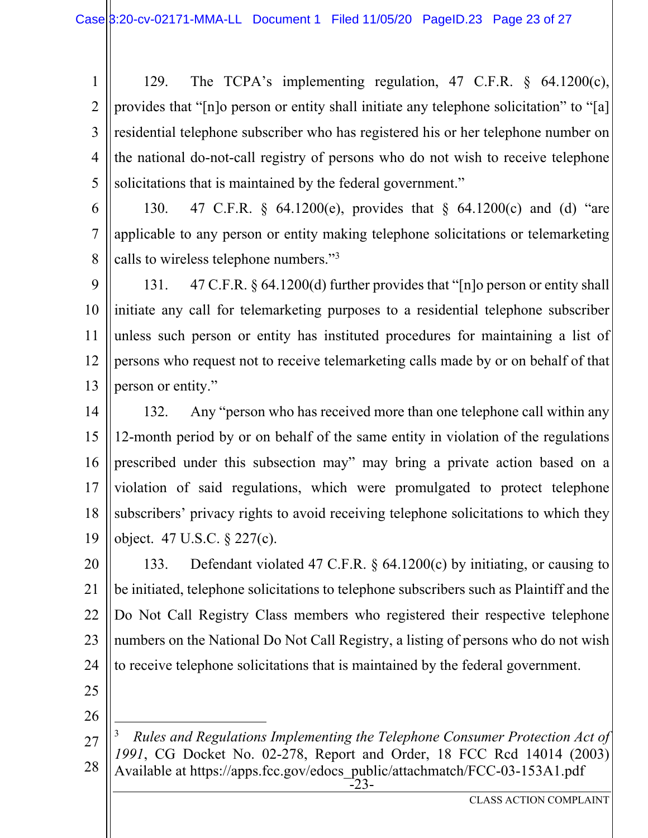1 2 3 4 5 129. The TCPA's implementing regulation, 47 C.F.R. § 64.1200(c), provides that "[n]o person or entity shall initiate any telephone solicitation" to "[a] residential telephone subscriber who has registered his or her telephone number on the national do-not-call registry of persons who do not wish to receive telephone solicitations that is maintained by the federal government."

6 7 8 130. 47 C.F.R. § 64.1200(e), provides that § 64.1200(c) and (d) "are applicable to any person or entity making telephone solicitations or telemarketing calls to wireless telephone numbers."3

9 10 11 12 13 131. 47 C.F.R. § 64.1200(d) further provides that "[n]o person or entity shall initiate any call for telemarketing purposes to a residential telephone subscriber unless such person or entity has instituted procedures for maintaining a list of persons who request not to receive telemarketing calls made by or on behalf of that person or entity."

14 15 16 17 18 19 132. Any "person who has received more than one telephone call within any 12-month period by or on behalf of the same entity in violation of the regulations prescribed under this subsection may" may bring a private action based on a violation of said regulations, which were promulgated to protect telephone subscribers' privacy rights to avoid receiving telephone solicitations to which they object. 47 U.S.C. § 227(c).

20 21 22 23 24 133. Defendant violated 47 C.F.R. § 64.1200(c) by initiating, or causing to be initiated, telephone solicitations to telephone subscribers such as Plaintiff and the Do Not Call Registry Class members who registered their respective telephone numbers on the National Do Not Call Registry, a listing of persons who do not wish to receive telephone solicitations that is maintained by the federal government.

25

26

-23- 27 28 3 *Rules and Regulations Implementing the Telephone Consumer Protection Act of 1991*, CG Docket No. 02-278, Report and Order, 18 FCC Rcd 14014 (2003) Available at https://apps.fcc.gov/edocs\_public/attachmatch/FCC-03-153A1.pdf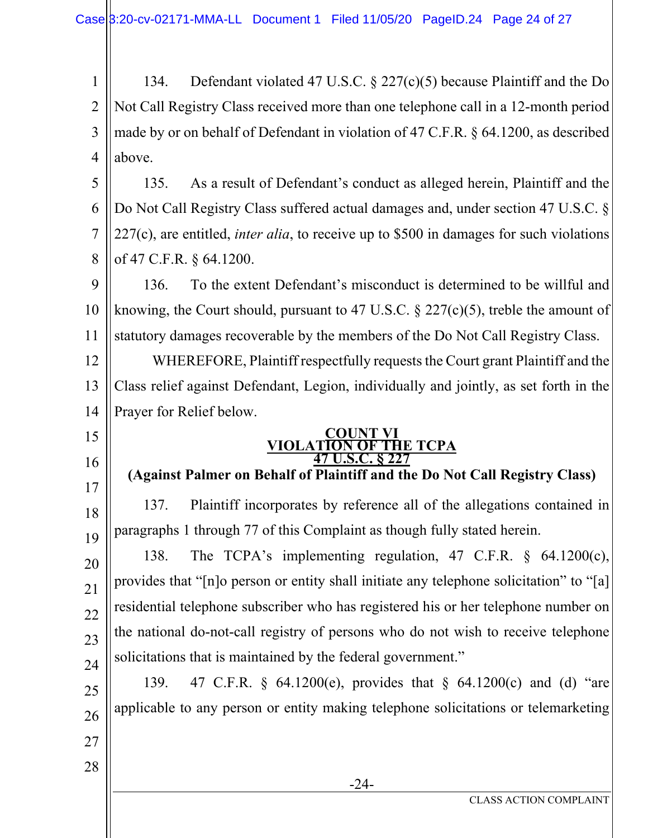1 2 3 4 134. Defendant violated 47 U.S.C. § 227(c)(5) because Plaintiff and the Do Not Call Registry Class received more than one telephone call in a 12-month period made by or on behalf of Defendant in violation of 47 C.F.R. § 64.1200, as described above.

5 6 7 8 135. As a result of Defendant's conduct as alleged herein, Plaintiff and the Do Not Call Registry Class suffered actual damages and, under section 47 U.S.C. § 227(c), are entitled, *inter alia*, to receive up to \$500 in damages for such violations of 47 C.F.R. § 64.1200.

9 10 11 136. To the extent Defendant's misconduct is determined to be willful and knowing, the Court should, pursuant to 47 U.S.C.  $\S$  227(c)(5), treble the amount of statutory damages recoverable by the members of the Do Not Call Registry Class.

12 13 14 WHEREFORE, Plaintiff respectfully requests the Court grant Plaintiff and the Class relief against Defendant, Legion, individually and jointly, as set forth in the Prayer for Relief below.

15

16

17

28

#### **COUNT VI<br>VIOLATION OF TH TION OF THE TCPA**<br>47 U.S.C. 8 227 **8 227**

# **(Against Palmer on Behalf of Plaintiff and the Do Not Call Registry Class)**

18 19 137. Plaintiff incorporates by reference all of the allegations contained in paragraphs 1 through 77 of this Complaint as though fully stated herein.

20 21 22 23 24 138. The TCPA's implementing regulation, 47 C.F.R. § 64.1200(c), provides that "[n]o person or entity shall initiate any telephone solicitation" to "[a] residential telephone subscriber who has registered his or her telephone number on the national do-not-call registry of persons who do not wish to receive telephone solicitations that is maintained by the federal government."

25 26 27 139. 47 C.F.R. § 64.1200(e), provides that § 64.1200(c) and (d) "are applicable to any person or entity making telephone solicitations or telemarketing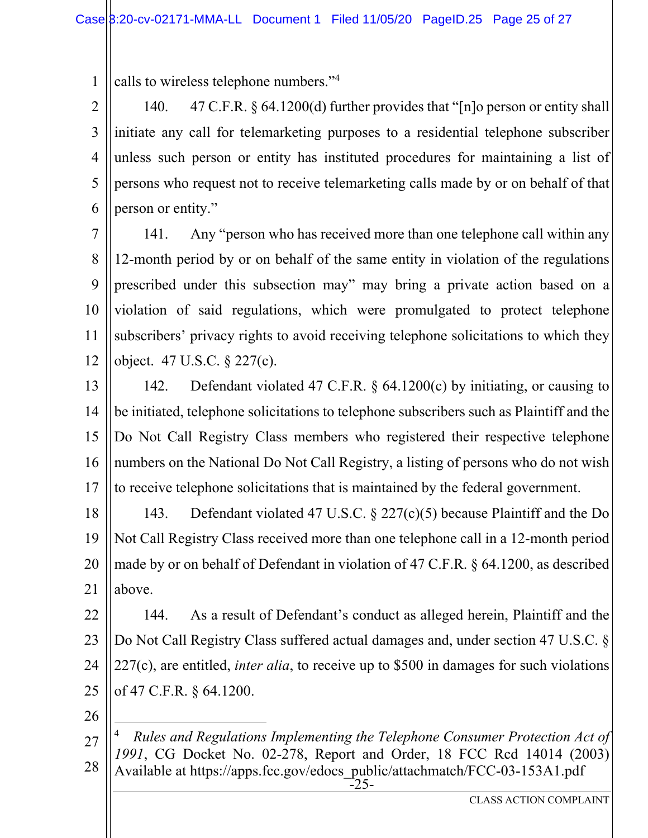1 calls to wireless telephone numbers."4

2 3 4 5 6 140. 47 C.F.R. § 64.1200(d) further provides that "[n]o person or entity shall initiate any call for telemarketing purposes to a residential telephone subscriber unless such person or entity has instituted procedures for maintaining a list of persons who request not to receive telemarketing calls made by or on behalf of that person or entity."

7 8 9 10 11 12 141. Any "person who has received more than one telephone call within any 12-month period by or on behalf of the same entity in violation of the regulations prescribed under this subsection may" may bring a private action based on a violation of said regulations, which were promulgated to protect telephone subscribers' privacy rights to avoid receiving telephone solicitations to which they object. 47 U.S.C. § 227(c).

13 14 15 16 17 142. Defendant violated 47 C.F.R. § 64.1200(c) by initiating, or causing to be initiated, telephone solicitations to telephone subscribers such as Plaintiff and the Do Not Call Registry Class members who registered their respective telephone numbers on the National Do Not Call Registry, a listing of persons who do not wish to receive telephone solicitations that is maintained by the federal government.

18 19 20 21 143. Defendant violated 47 U.S.C. § 227(c)(5) because Plaintiff and the Do Not Call Registry Class received more than one telephone call in a 12-month period made by or on behalf of Defendant in violation of 47 C.F.R. § 64.1200, as described above.

22 23 24 25 144. As a result of Defendant's conduct as alleged herein, Plaintiff and the Do Not Call Registry Class suffered actual damages and, under section 47 U.S.C. § 227(c), are entitled, *inter alia*, to receive up to \$500 in damages for such violations of 47 C.F.R. § 64.1200.

<sup>-25-</sup>  27 28 4 *Rules and Regulations Implementing the Telephone Consumer Protection Act of 1991*, CG Docket No. 02-278, Report and Order, 18 FCC Rcd 14014 (2003) Available at https://apps.fcc.gov/edocs\_public/attachmatch/FCC-03-153A1.pdf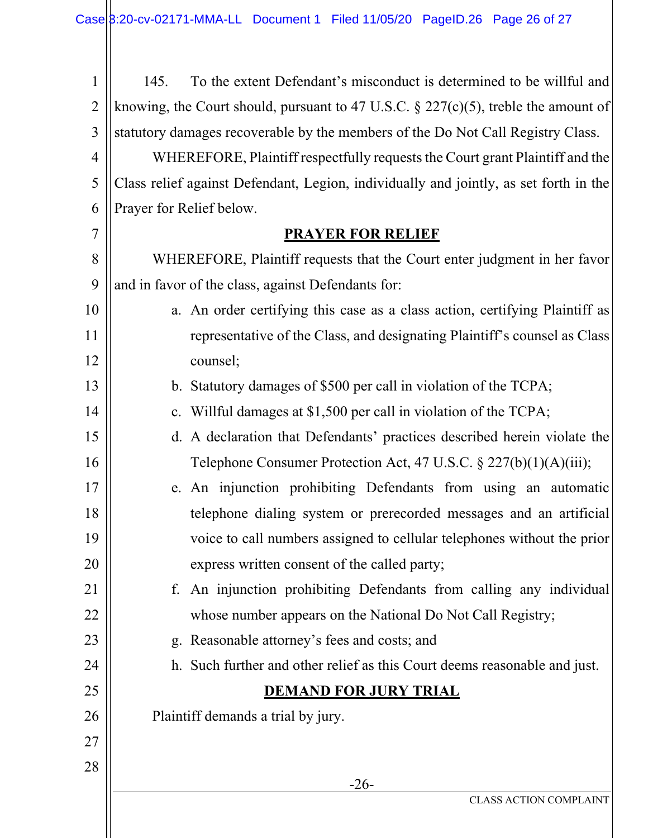| $\mathbf{1}$   | 145.                                                                                   | To the extent Defendant's misconduct is determined to be willful and        |  |  |  |
|----------------|----------------------------------------------------------------------------------------|-----------------------------------------------------------------------------|--|--|--|
| $\overline{2}$ | knowing, the Court should, pursuant to 47 U.S.C. $\S 227(c)(5)$ , treble the amount of |                                                                             |  |  |  |
| 3              | statutory damages recoverable by the members of the Do Not Call Registry Class.        |                                                                             |  |  |  |
| $\overline{4}$ | WHEREFORE, Plaintiff respectfully requests the Court grant Plaintiff and the           |                                                                             |  |  |  |
| 5              | Class relief against Defendant, Legion, individually and jointly, as set forth in the  |                                                                             |  |  |  |
| 6              | Prayer for Relief below.                                                               |                                                                             |  |  |  |
| 7              | <b>PRAYER FOR RELIEF</b>                                                               |                                                                             |  |  |  |
| 8              | WHEREFORE, Plaintiff requests that the Court enter judgment in her favor               |                                                                             |  |  |  |
| 9              | and in favor of the class, against Defendants for:                                     |                                                                             |  |  |  |
| 10             |                                                                                        | a. An order certifying this case as a class action, certifying Plaintiff as |  |  |  |
| 11             |                                                                                        | representative of the Class, and designating Plaintiff's counsel as Class   |  |  |  |
| 12             |                                                                                        | counsel;                                                                    |  |  |  |
| 13             |                                                                                        | b. Statutory damages of \$500 per call in violation of the TCPA;            |  |  |  |
| 14             |                                                                                        | c. Willful damages at \$1,500 per call in violation of the TCPA;            |  |  |  |
| 15             |                                                                                        | d. A declaration that Defendants' practices described herein violate the    |  |  |  |
| 16             |                                                                                        | Telephone Consumer Protection Act, 47 U.S.C. § 227(b)(1)(A)(iii);           |  |  |  |
| 17             |                                                                                        | e. An injunction prohibiting Defendants from using an automatic             |  |  |  |
| 18             |                                                                                        | telephone dialing system or prerecorded messages and an artificial          |  |  |  |
| 19             |                                                                                        | voice to call numbers assigned to cellular telephones without the prior     |  |  |  |
| 20             |                                                                                        | express written consent of the called party;                                |  |  |  |
| 21             | f.                                                                                     | An injunction prohibiting Defendants from calling any individual            |  |  |  |
| 22             |                                                                                        | whose number appears on the National Do Not Call Registry;                  |  |  |  |
| 23             |                                                                                        | g. Reasonable attorney's fees and costs; and                                |  |  |  |
| 24             |                                                                                        | h. Such further and other relief as this Court deems reasonable and just.   |  |  |  |
| 25             |                                                                                        | <b>DEMAND FOR JURY TRIAL</b>                                                |  |  |  |
| 26             | Plaintiff demands a trial by jury.                                                     |                                                                             |  |  |  |
| 27             |                                                                                        |                                                                             |  |  |  |
| 28             |                                                                                        |                                                                             |  |  |  |
|                | $-26-$<br><b>CLASS ACTION COMPLAINT</b>                                                |                                                                             |  |  |  |
|                |                                                                                        |                                                                             |  |  |  |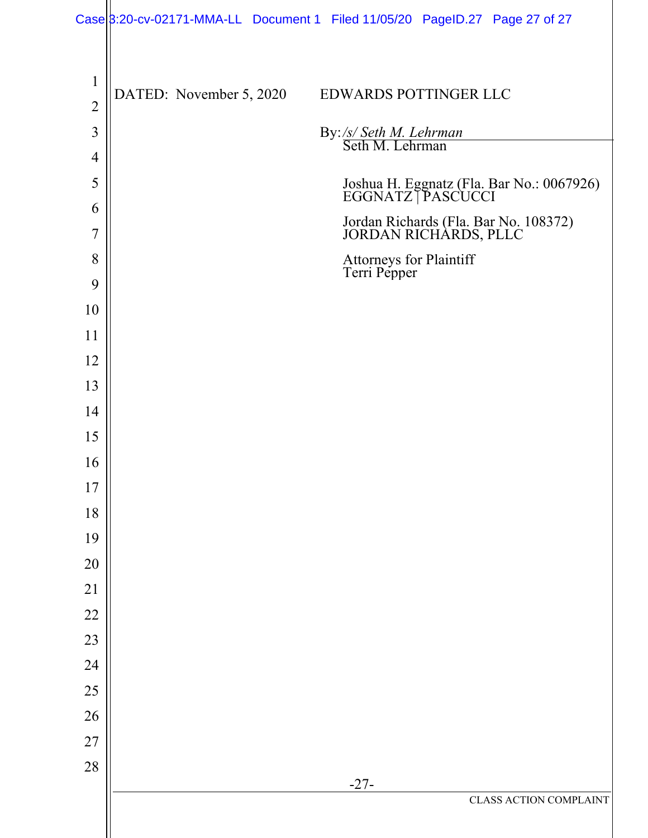|                     |                         | Case 8:20-cv-02171-MMA-LL Document 1 Filed 11/05/20 PageID.27 Page 27 of 27 |
|---------------------|-------------------------|-----------------------------------------------------------------------------|
|                     |                         |                                                                             |
| $\mathbf{1}$        | DATED: November 5, 2020 | EDWARDS POTTINGER LLC                                                       |
| $\overline{2}$      |                         |                                                                             |
| $\mathfrak{Z}$      |                         | By:/s/ Seth M. Lehrman<br>Seth M. Lehrman                                   |
| $\overline{4}$<br>5 |                         |                                                                             |
| 6                   |                         | Joshua H. Eggnatz (Fla. Bar No.: 0067926)<br>EGGNATZ   PASCUCCI             |
| $\overline{7}$      |                         | Jordan Richards (Fla. Bar No. 108372)<br>JORDAN RICHARDS, PLLC              |
| 8                   |                         | Attorneys for Plaintiff<br>Terri Pepper                                     |
| 9                   |                         |                                                                             |
| 10                  |                         |                                                                             |
| 11                  |                         |                                                                             |
| 12                  |                         |                                                                             |
| 13                  |                         |                                                                             |
| 14                  |                         |                                                                             |
| 15                  |                         |                                                                             |
| 16                  |                         |                                                                             |
| 17                  |                         |                                                                             |
| 18                  |                         |                                                                             |
| 19                  |                         |                                                                             |
| 20                  |                         |                                                                             |
| 21<br>$22\,$        |                         |                                                                             |
| 23                  |                         |                                                                             |
| 24                  |                         |                                                                             |
| $25\,$              |                         |                                                                             |
| 26                  |                         |                                                                             |
| 27                  |                         |                                                                             |
| 28                  |                         |                                                                             |
|                     |                         | $-27-$<br>CLASS ACTION COMPLAINT                                            |
|                     |                         |                                                                             |